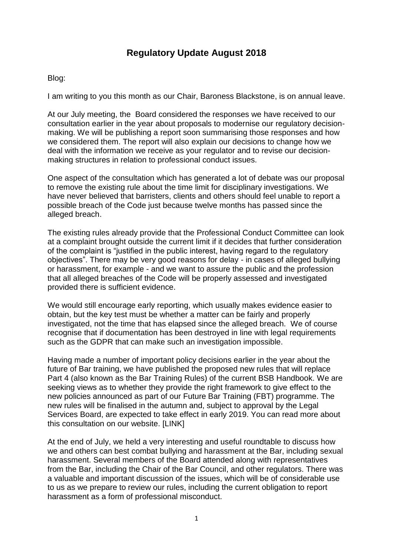# **Regulatory Update August 2018**

#### Blog:

I am writing to you this month as our Chair, Baroness Blackstone, is on annual leave.

At our July meeting, the Board considered the responses we have received to our consultation earlier in the year about proposals to modernise our regulatory decisionmaking. We will be publishing a report soon summarising those responses and how we considered them. The report will also explain our decisions to change how we deal with the information we receive as your regulator and to revise our decisionmaking structures in relation to professional conduct issues.

One aspect of the consultation which has generated a lot of debate was our proposal to remove the existing rule about the time limit for disciplinary investigations. We have never believed that barristers, clients and others should feel unable to report a possible breach of the Code just because twelve months has passed since the alleged breach.

The existing rules already provide that the Professional Conduct Committee can look at a complaint brought outside the current limit if it decides that further consideration of the complaint is "justified in the public interest, having regard to the regulatory objectives". There may be very good reasons for delay - in cases of alleged bullying or harassment, for example - and we want to assure the public and the profession that all alleged breaches of the Code will be properly assessed and investigated provided there is sufficient evidence.

We would still encourage early reporting, which usually makes evidence easier to obtain, but the key test must be whether a matter can be fairly and properly investigated, not the time that has elapsed since the alleged breach. We of course recognise that if documentation has been destroyed in line with legal requirements such as the GDPR that can make such an investigation impossible.

Having made a number of important policy decisions earlier in the year about the future of Bar training, we have published the proposed new rules that will replace Part 4 (also known as the Bar Training Rules) of the current BSB Handbook. We are seeking views as to whether they provide the right framework to give effect to the new policies announced as part of our Future Bar Training (FBT) programme. The new rules will be finalised in the autumn and, subject to approval by the Legal Services Board, are expected to take effect in early 2019. You can read more about this consultation on our website. [LINK]

At the end of July, we held a very interesting and useful roundtable to discuss how we and others can best combat bullying and harassment at the Bar, including sexual harassment. Several members of the Board attended along with representatives from the Bar, including the Chair of the Bar Council, and other regulators. There was a valuable and important discussion of the issues, which will be of considerable use to us as we prepare to review our rules, including the current obligation to report harassment as a form of professional misconduct.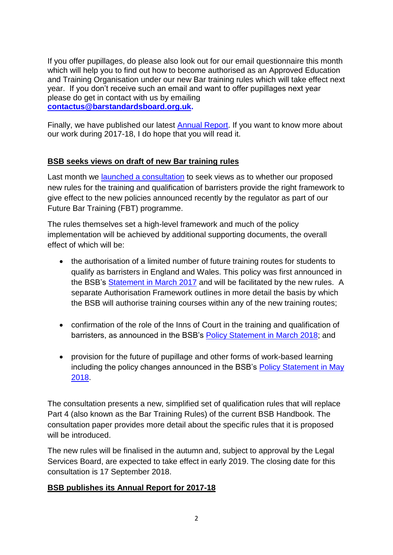If you offer pupillages, do please also look out for our email questionnaire this month which will help you to find out how to become authorised as an Approved Education and Training Organisation under our new Bar training rules which will take effect next year. If you don't receive such an email and want to offer pupillages next year please do get in contact with us by emailing **[contactus@barstandardsboard.org.uk.](mailto:contactus@barstandardsboard.org.uk)**

Finally, we have published our latest [Annual Report.](https://www.barstandardsboard.org.uk/media/1945100/bsb_annual_report_2017-18.pdf) If you want to know more about our work during 2017-18, I do hope that you will read it.

## **BSB seeks views on draft of new Bar training rules**

Last month we [launched a consultation](https://www.barstandardsboard.org.uk/media/1943343/rule_change_condoc.pdf) to seek views as to whether our proposed new rules for the training and qualification of barristers provide the right framework to give effect to the new policies announced recently by the regulator as part of our Future Bar Training (FBT) programme.

The rules themselves set a high-level framework and much of the policy implementation will be achieved by additional supporting documents, the overall effect of which will be:

- the authorisation of a limited number of future training routes for students to qualify as barristers in England and Wales. This policy was first announced in the BSB's [Statement in March 2017](https://www.barstandardsboard.org.uk/media/1825162/032317_fbt_-_policy_statement_version_for_publication.pdf) and will be facilitated by the new rules. A separate Authorisation Framework outlines in more detail the basis by which the BSB will authorise training courses within any of the new training routes;
- confirmation of the role of the Inns of Court in the training and qualification of barristers, as announced in the BSB's [Policy Statement](https://www.barstandardsboard.org.uk/media-centre/press-releases-and-news/bsb-agrees-approach-on-the-role-of-the-inns-of-court-in-the-future-of-bar-training/) in March 2018; and
- provision for the future of pupillage and other forms of work-based learning including the policy changes announced in the BSB's [Policy Statement in May](https://www.barstandardsboard.org.uk/media-centre/press-releases-and-news/bsb-agrees-further-key-elements-for-the-future-of-bar-training/)  [2018.](https://www.barstandardsboard.org.uk/media-centre/press-releases-and-news/bsb-agrees-further-key-elements-for-the-future-of-bar-training/)

The consultation presents a new, simplified set of qualification rules that will replace Part 4 (also known as the Bar Training Rules) of the current BSB Handbook. The consultation paper provides more detail about the specific rules that it is proposed will be introduced.

The new rules will be finalised in the autumn and, subject to approval by the Legal Services Board, are expected to take effect in early 2019. The closing date for this consultation is 17 September 2018.

### **BSB publishes its Annual Report for 2017-18**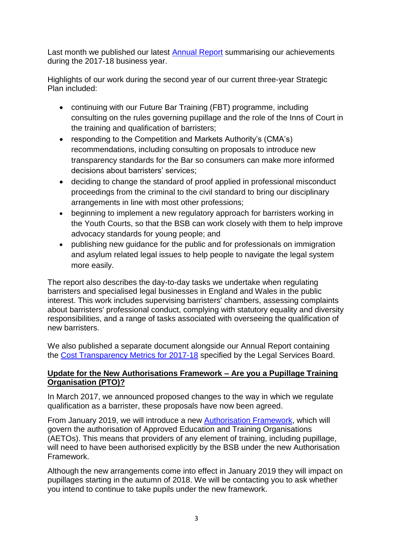Last month we published our latest [Annual Report](https://www.barstandardsboard.org.uk/media/1945100/t2_bsb_annual_report_2017-18_v11.pdf) summarising our achievements during the 2017-18 business year.

Highlights of our work during the second year of our current three-year Strategic Plan included:

- continuing with our Future Bar Training (FBT) programme, including consulting on the rules governing pupillage and the role of the Inns of Court in the training and qualification of barristers;
- responding to the Competition and Markets Authority's (CMA's) recommendations, including consulting on proposals to introduce new transparency standards for the Bar so consumers can make more informed decisions about barristers' services;
- deciding to change the standard of proof applied in professional misconduct proceedings from the criminal to the civil standard to bring our disciplinary arrangements in line with most other professions;
- beginning to implement a new regulatory approach for barristers working in the Youth Courts, so that the BSB can work closely with them to help improve advocacy standards for young people; and
- publishing new guidance for the public and for professionals on immigration and asylum related legal issues to help people to navigate the legal system more easily.

The report also describes the day-to-day tasks we undertake when regulating barristers and specialised legal businesses in England and Wales in the public interest. This work includes supervising barristers' chambers, assessing complaints about barristers' professional conduct, complying with statutory equality and diversity responsibilities, and a range of tasks associated with overseeing the qualification of new barristers.

We also published a separate document alongside our Annual Report containing the Cost [Transparency](https://www.barstandardsboard.org.uk/media/1945108/cost_transparency_metrics_2017_18.pdf) Metrics for 2017-18 specified by the Legal Services Board.

### **Update for the New Authorisations Framework – Are you a Pupillage Training Organisation (PTO)?**

In March 2017, we announced proposed changes to the way in which we regulate qualification as a barrister, these proposals have now been agreed.

From January 2019, we will introduce a new [Authorisation Framework,](https://www.barstandardsboard.org.uk/media/1936669/authorisation_framework.pdf) which will govern the authorisation of Approved Education and Training Organisations (AETOs). This means that providers of any element of training, including pupillage, will need to have been authorised explicitly by the BSB under the new Authorisation Framework.

Although the new arrangements come into effect in January 2019 they will impact on pupillages starting in the autumn of 2018. We will be contacting you to ask whether you intend to continue to take pupils under the new framework.